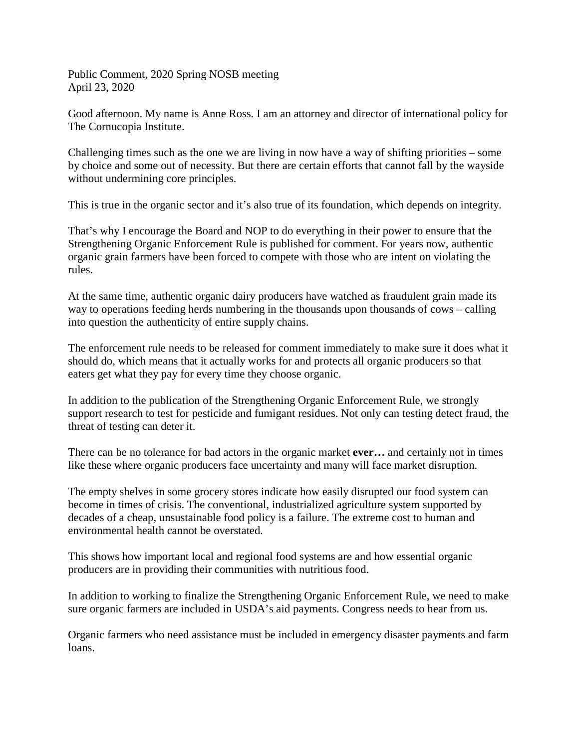Public Comment, 2020 Spring NOSB meeting April 23, 2020

Good afternoon. My name is Anne Ross. I am an attorney and director of international policy for The Cornucopia Institute.

Challenging times such as the one we are living in now have a way of shifting priorities – some by choice and some out of necessity. But there are certain efforts that cannot fall by the wayside without undermining core principles.

This is true in the organic sector and it's also true of its foundation, which depends on integrity.

That's why I encourage the Board and NOP to do everything in their power to ensure that the Strengthening Organic Enforcement Rule is published for comment. For years now, authentic organic grain farmers have been forced to compete with those who are intent on violating the rules.

At the same time, authentic organic dairy producers have watched as fraudulent grain made its way to operations feeding herds numbering in the thousands upon thousands of cows – calling into question the authenticity of entire supply chains.

The enforcement rule needs to be released for comment immediately to make sure it does what it should do, which means that it actually works for and protects all organic producers so that eaters get what they pay for every time they choose organic.

In addition to the publication of the Strengthening Organic Enforcement Rule, we strongly support research to test for pesticide and fumigant residues. Not only can testing detect fraud, the threat of testing can deter it.

There can be no tolerance for bad actors in the organic market **ever…** and certainly not in times like these where organic producers face uncertainty and many will face market disruption.

The empty shelves in some grocery stores indicate how easily disrupted our food system can become in times of crisis. The conventional, industrialized agriculture system supported by decades of a cheap, unsustainable food policy is a failure. The extreme cost to human and environmental health cannot be overstated.

This shows how important local and regional food systems are and how essential organic producers are in providing their communities with nutritious food.

In addition to working to finalize the Strengthening Organic Enforcement Rule, we need to make sure organic farmers are included in USDA's aid payments. Congress needs to hear from us.

Organic farmers who need assistance must be included in emergency disaster payments and farm loans.